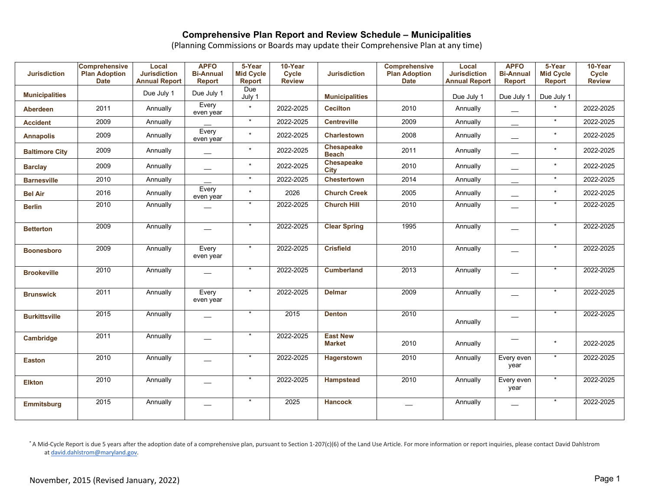(Planning Commissions or Boards may update their Comprehensive Plan at any time)

| <b>Jurisdiction</b>   | <b>Comprehensive</b><br><b>Plan Adoption</b><br><b>Date</b> | Local<br><b>Jurisdiction</b><br><b>Annual Report</b> | <b>APFO</b><br><b>Bi-Annual</b><br>Report | 5-Year<br><b>Mid Cycle</b><br><b>Report</b> | 10-Year<br><b>Cycle</b><br><b>Review</b> | <b>Jurisdiction</b>              | <b>Comprehensive</b><br><b>Plan Adoption</b><br><b>Date</b> | Local<br><b>Jurisdiction</b><br><b>Annual Report</b> | <b>APFO</b><br><b>Bi-Annual</b><br><b>Report</b> | 5-Year<br><b>Mid Cycle</b><br><b>Report</b> | 10-Year<br><b>Cycle</b><br><b>Review</b> |
|-----------------------|-------------------------------------------------------------|------------------------------------------------------|-------------------------------------------|---------------------------------------------|------------------------------------------|----------------------------------|-------------------------------------------------------------|------------------------------------------------------|--------------------------------------------------|---------------------------------------------|------------------------------------------|
| <b>Municipalities</b> |                                                             | Due July 1                                           | Due July 1                                | Due<br>July 1                               |                                          | <b>Municipalities</b>            |                                                             | Due July 1                                           | Due July 1                                       | Due July 1                                  |                                          |
| Aberdeen              | 2011                                                        | Annually                                             | Every<br>even year                        | $\star$                                     | 2022-2025                                | <b>Cecilton</b>                  | 2010                                                        | Annually                                             |                                                  | $\star$                                     | 2022-2025                                |
| <b>Accident</b>       | 2009                                                        | Annually                                             |                                           | $\star$                                     | 2022-2025                                | <b>Centreville</b>               | 2009                                                        | Annually                                             | $\overbrace{\phantom{aaaaa}}$                    | $\star$                                     | 2022-2025                                |
| <b>Annapolis</b>      | 2009                                                        | Annually                                             | Every<br>even year                        | $\star$                                     | 2022-2025                                | <b>Charlestown</b>               | 2008                                                        | Annually                                             | $\overline{\phantom{0}}$                         | $\star$                                     | 2022-2025                                |
| <b>Baltimore City</b> | 2009                                                        | Annually                                             | $\hspace{0.05cm}$                         | $\star$                                     | 2022-2025                                | Chesapeake<br><b>Beach</b>       | 2011                                                        | Annually                                             | $\qquad \qquad \longleftarrow$                   | $\star$                                     | 2022-2025                                |
| <b>Barclay</b>        | 2009                                                        | Annually                                             |                                           | $\star$                                     | 2022-2025                                | <b>Chesapeake</b><br>City        | 2010                                                        | Annually                                             |                                                  | $\star$                                     | 2022-2025                                |
| <b>Barnesville</b>    | 2010                                                        | Annually                                             |                                           | $\star$                                     | 2022-2025                                | <b>Chestertown</b>               | 2014                                                        | Annually                                             |                                                  | $\star$                                     | 2022-2025                                |
| <b>Bel Air</b>        | 2016                                                        | Annually                                             | Every<br>even year                        | $\star$                                     | 2026                                     | <b>Church Creek</b>              | 2005                                                        | Annually                                             |                                                  | $\star$                                     | 2022-2025                                |
| <b>Berlin</b>         | 2010                                                        | Annually                                             |                                           | $\star$                                     | 2022-2025                                | <b>Church Hill</b>               | 2010                                                        | Annually                                             |                                                  | $\star$                                     | 2022-2025                                |
| <b>Betterton</b>      | 2009                                                        | Annually                                             |                                           |                                             | 2022-2025                                | <b>Clear Spring</b>              | 1995                                                        | Annually                                             |                                                  | $\star$                                     | 2022-2025                                |
| <b>Boonesboro</b>     | 2009                                                        | Annually                                             | Every<br>even year                        |                                             | 2022-2025                                | <b>Crisfield</b>                 | 2010                                                        | Annually                                             |                                                  | $\star$                                     | 2022-2025                                |
| <b>Brookeville</b>    | 2010                                                        | Annually                                             |                                           | $\star$                                     | 2022-2025                                | <b>Cumberland</b>                | 2013                                                        | Annually                                             |                                                  | $\star$                                     | 2022-2025                                |
| <b>Brunswick</b>      | 2011                                                        | Annually                                             | Every<br>even year                        |                                             | 2022-2025                                | <b>Delmar</b>                    | 2009                                                        | Annually                                             |                                                  | *                                           | 2022-2025                                |
| <b>Burkittsville</b>  | 2015                                                        | Annually                                             |                                           | $\star$                                     | 2015                                     | <b>Denton</b>                    | 2010                                                        | Annually                                             | $\hspace{0.05cm}$                                | $\star$                                     | 2022-2025                                |
| Cambridge             | 2011                                                        | Annually                                             |                                           | $\star$                                     | 2022-2025                                | <b>East New</b><br><b>Market</b> | 2010                                                        | Annually                                             |                                                  | $\star$                                     | 2022-2025                                |
| <b>Easton</b>         | 2010                                                        | Annually                                             |                                           | $\star$                                     | 2022-2025                                | Hagerstown                       | 2010                                                        | Annually                                             | Every even<br>year                               | $\ast$                                      | 2022-2025                                |
| <b>Elkton</b>         | 2010                                                        | Annually                                             |                                           |                                             | 2022-2025                                | <b>Hampstead</b>                 | 2010                                                        | Annually                                             | Every even<br>year                               | $\star$                                     | 2022-2025                                |
| Emmitsburg            | 2015                                                        | Annually                                             |                                           | $\star$                                     | 2025                                     | <b>Hancock</b>                   |                                                             | Annually                                             |                                                  | $\star$                                     | 2022-2025                                |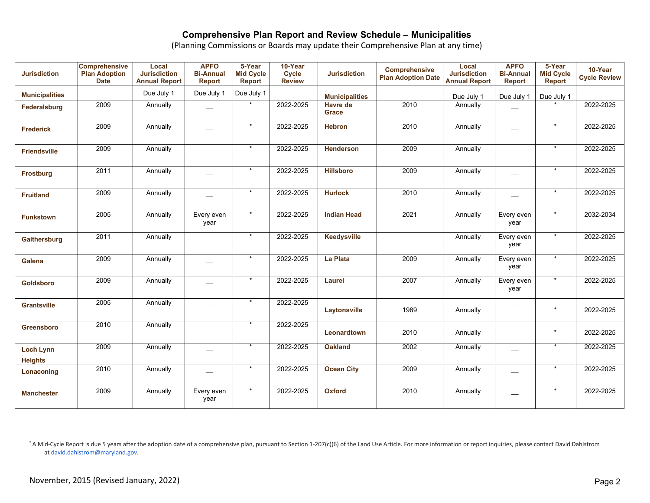(Planning Commissions or Boards may update their Comprehensive Plan at any time)

| <b>Jurisdiction</b>                | <b>Comprehensive</b><br><b>Plan Adoption</b><br><b>Date</b> | Local<br><b>Jurisdiction</b><br><b>Annual Report</b> | <b>APFO</b><br><b>Bi-Annual</b><br><b>Report</b> | 5-Year<br><b>Mid Cycle</b><br>Report | 10-Year<br><b>Cycle</b><br><b>Review</b> | <b>Jurisdiction</b>             | <b>Comprehensive</b><br><b>Plan Adoption Date</b> | Local<br><b>Jurisdiction</b><br><b>Annual Report</b> | <b>APFO</b><br><b>Bi-Annual</b><br><b>Report</b> | 5-Year<br><b>Mid Cycle</b><br><b>Report</b> | 10-Year<br><b>Cycle Review</b> |
|------------------------------------|-------------------------------------------------------------|------------------------------------------------------|--------------------------------------------------|--------------------------------------|------------------------------------------|---------------------------------|---------------------------------------------------|------------------------------------------------------|--------------------------------------------------|---------------------------------------------|--------------------------------|
| <b>Municipalities</b>              |                                                             | Due July 1                                           | Due July 1                                       | Due July 1                           |                                          | <b>Municipalities</b>           |                                                   | Due July 1                                           | Due July 1                                       | Due July 1                                  |                                |
| Federalsburg                       | 2009                                                        | Annually                                             |                                                  |                                      | 2022-2025                                | <b>Havre de</b><br><b>Grace</b> | 2010                                              | Annually                                             |                                                  |                                             | 2022-2025                      |
| <b>Frederick</b>                   | 2009                                                        | Annually                                             |                                                  | $\star$                              | 2022-2025                                | <b>Hebron</b>                   | 2010                                              | Annually                                             |                                                  | $\star$                                     | 2022-2025                      |
| <b>Friendsville</b>                | 2009                                                        | Annually                                             |                                                  | $\star$                              | 2022-2025                                | <b>Henderson</b>                | 2009                                              | Annually                                             | $\overline{\phantom{0}}$                         | $\star$                                     | 2022-2025                      |
| <b>Frostburg</b>                   | 2011                                                        | Annually                                             |                                                  | $\star$                              | 2022-2025                                | <b>Hillsboro</b>                | 2009                                              | Annually                                             |                                                  | $\star$                                     | 2022-2025                      |
| <b>Fruitland</b>                   | 2009                                                        | Annually                                             |                                                  | $\star$                              | 2022-2025                                | <b>Hurlock</b>                  | 2010                                              | Annually                                             |                                                  | $\star$                                     | 2022-2025                      |
| <b>Funkstown</b>                   | 2005                                                        | Annually                                             | Every even<br>year                               | $\star$                              | 2022-2025                                | <b>Indian Head</b>              | 2021                                              | Annually                                             | Every even<br>year                               | $\star$                                     | 2032-2034                      |
| Gaithersburg                       | 2011                                                        | Annually                                             |                                                  | $\ast$                               | 2022-2025                                | <b>Keedysville</b>              |                                                   | Annually                                             | Every even<br>year                               | $\ast$                                      | 2022-2025                      |
| <b>Galena</b>                      | 2009                                                        | Annually                                             |                                                  | $\star$                              | 2022-2025                                | La Plata                        | 2009                                              | Annually                                             | Every even<br>year                               |                                             | 2022-2025                      |
| Goldsboro                          | 2009                                                        | Annually                                             |                                                  | $\star$                              | 2022-2025                                | Laurel                          | 2007                                              | Annually                                             | Every even<br>year                               | $\star$                                     | 2022-2025                      |
| <b>Grantsville</b>                 | 2005                                                        | Annually                                             |                                                  | $\star$                              | 2022-2025                                | Laytonsville                    | 1989                                              | Annually                                             |                                                  | $\star$                                     | 2022-2025                      |
| <b>Greensboro</b>                  | 2010                                                        | Annually                                             |                                                  | $\star$                              | 2022-2025                                | Leonardtown                     | 2010                                              | Annually                                             | $\overbrace{\phantom{aaaaa}}$                    | $\star$                                     | 2022-2025                      |
| <b>Loch Lynn</b><br><b>Heights</b> | 2009                                                        | Annually                                             |                                                  | $\star$                              | 2022-2025                                | <b>Oakland</b>                  | 2002                                              | Annually                                             |                                                  | $\star$                                     | 2022-2025                      |
| Lonaconing                         | 2010                                                        | Annually                                             |                                                  | $\star$                              | 2022-2025                                | <b>Ocean City</b>               | 2009                                              | Annually                                             |                                                  | $\star$                                     | 2022-2025                      |
| <b>Manchester</b>                  | 2009                                                        | Annually                                             | Every even<br>year                               | $\star$                              | 2022-2025                                | <b>Oxford</b>                   | 2010                                              | Annually                                             | $\overline{\phantom{0}}$                         | $\star$                                     | 2022-2025                      |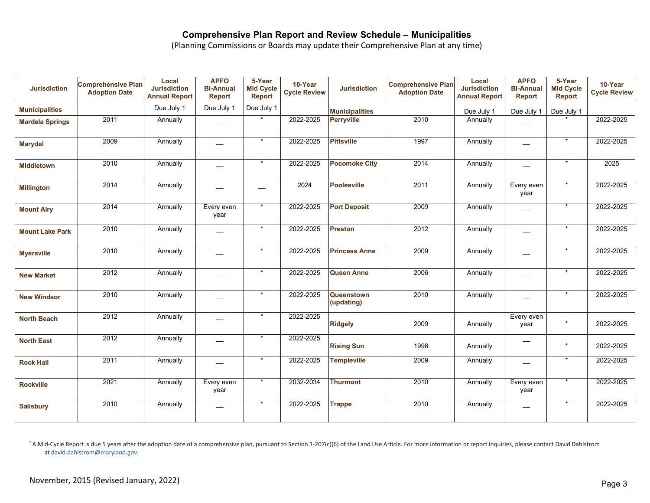(Planning Commissions or Boards may update their Comprehensive Plan at any time)

| <b>Jurisdiction</b>    | <b>Comprehensive Plan</b><br><b>Adoption Date</b> | Local<br><b>Jurisdiction</b><br><b>Annual Report</b> | <b>APFO</b><br><b>Bi-Annual</b><br><b>Report</b> | 5-Year<br><b>Mid Cycle</b><br>Report | 10-Year<br><b>Cycle Review</b> | <b>Jurisdiction</b>      | <b>Comprehensive Plan</b><br><b>Adoption Date</b> | Local<br><b>Jurisdiction</b><br><b>Annual Report</b> | <b>APFO</b><br><b>Bi-Annual</b><br><b>Report</b> | 5-Year<br><b>Mid Cycle</b><br><b>Report</b> | 10-Year<br><b>Cycle Review</b> |
|------------------------|---------------------------------------------------|------------------------------------------------------|--------------------------------------------------|--------------------------------------|--------------------------------|--------------------------|---------------------------------------------------|------------------------------------------------------|--------------------------------------------------|---------------------------------------------|--------------------------------|
| <b>Municipalities</b>  |                                                   | Due July 1                                           | Due July 1                                       | Due July 1                           |                                | <b>Municipalities</b>    |                                                   | Due July 1                                           | Due July 1                                       | Due July 1                                  |                                |
| <b>Mardela Springs</b> | 2011                                              | Annually                                             |                                                  |                                      | 2022-2025                      | <b>Perryville</b>        | 2010                                              | Annually                                             |                                                  |                                             | 2022-2025                      |
| <b>Marydel</b>         | 2009                                              | Annually                                             |                                                  | $\star$                              | 2022-2025                      | <b>Pittsville</b>        | 1997                                              | Annually                                             | $\overline{\phantom{0}}$                         | $\star$                                     | 2022-2025                      |
| <b>Middletown</b>      | 2010                                              | Annually                                             |                                                  | $\star$                              | 2022-2025                      | <b>Pocomoke City</b>     | 2014                                              | Annually                                             |                                                  |                                             | 2025                           |
| <b>Millington</b>      | 2014                                              | Annually                                             |                                                  |                                      | 2024                           | <b>Poolesville</b>       | 2011                                              | Annually                                             | Every even<br>year                               | $\star$                                     | 2022-2025                      |
| <b>Mount Airy</b>      | 2014                                              | Annually                                             | Every even<br>year                               |                                      | 2022-2025                      | <b>Port Deposit</b>      | 2009                                              | Annually                                             |                                                  |                                             | 2022-2025                      |
| <b>Mount Lake Park</b> | 2010                                              | Annually                                             |                                                  | $\star$                              | 2022-2025                      | Preston                  | 2012                                              | Annually                                             |                                                  | $\star$                                     | 2022-2025                      |
| <b>Myersville</b>      | 2010                                              | Annually                                             | ---                                              | $\star$                              | 2022-2025                      | <b>Princess Anne</b>     | 2009                                              | Annually                                             | $\qquad \qquad$                                  |                                             | 2022-2025                      |
| <b>New Market</b>      | 2012                                              | Annually                                             |                                                  |                                      | 2022-2025                      | <b>Queen Anne</b>        | 2006                                              | Annually                                             |                                                  |                                             | 2022-2025                      |
| <b>New Windsor</b>     | 2010                                              | Annually                                             | المستحدة                                         |                                      | 2022-2025                      | Queenstown<br>(updating) | 2010                                              | Annually                                             |                                                  |                                             | 2022-2025                      |
| <b>North Beach</b>     | 2012                                              | Annually                                             |                                                  | $\star$                              | 2022-2025                      | <b>Ridgely</b>           | 2009                                              | Annually                                             | Every even<br>year                               | $\star$                                     | 2022-2025                      |
| <b>North East</b>      | 2012                                              | Annually                                             |                                                  | $\star$                              | 2022-2025                      | <b>Rising Sun</b>        | 1996                                              | Annually                                             | --                                               | $\star$                                     | 2022-2025                      |
| <b>Rock Hall</b>       | 2011                                              | Annually                                             |                                                  | $\star$                              | 2022-2025                      | <b>Templeville</b>       | 2009                                              | Annually                                             |                                                  | $\star$                                     | 2022-2025                      |
| <b>Rockville</b>       | 2021                                              | Annually                                             | Every even<br>year                               | $\star$                              | 2032-2034                      | <b>Thurmont</b>          | 2010                                              | Annually                                             | Every even<br>year                               |                                             | 2022-2025                      |
| <b>Salisbury</b>       | 2010                                              | Annually                                             | $\overline{\phantom{0}}$                         | $\star$                              | 2022-2025                      | <b>Trappe</b>            | 2010                                              | Annually                                             | $\overline{\phantom{0}}$                         |                                             | 2022-2025                      |